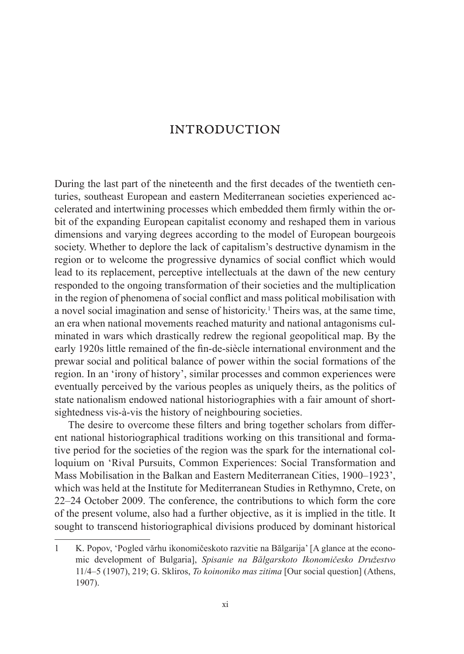During the last part of the nineteenth and the first decades of the twentieth centuries, southeast European and eastern Mediterranean societies experienced accelerated and intertwining processes which embedded them firmly within the orbit of the expanding European capitalist economy and reshaped them in various dimensions and varying degrees according to the model of European bourgeois society. Whether to deplore the lack of capitalism's destructive dynamism in the region or to welcome the progressive dynamics of social conflict which would lead to its replacement, perceptive intellectuals at the dawn of the new century responded to the ongoing transformation of their societies and the multiplication in the region of phenomena of social conflict and mass political mobilisation with a novel social imagination and sense of historicity.<sup>1</sup> Theirs was, at the same time, an era when national movements reached maturity and national antagonisms culminated in wars which drastically redrew the regional geopolitical map. By the early 1920s little remained of the fin-de-siècle international environment and the prewar social and political balance of power within the social formations of the region. In an 'irony of history', similar processes and common experiences were eventually perceived by the various peoples as uniquely theirs, as the politics of state nationalism endowed national historiographies with a fair amount of shortsightedness vis-à-vis the history of neighbouring societies.

The desire to overcome these filters and bring together scholars from different national historiographical traditions working on this transitional and formative period for the societies of the region was the spark for the international colloquium on 'Rival Pursuits, Common Experiences: Social Transformation and Mass Mobilisation in the Balkan and Eastern Mediterranean Cities, 1900–1923', which was held at the Institute for Mediterranean Studies in Rethymno, Crete, on 22–24 October 2009. The conference, the contributions to which form the core of the present volume, also had a further objective, as it is implied in the title. It sought to transcend historiographical divisions produced by dominant historical

<sup>1</sup> K. Popov, 'Pogled vărhu ikonomičeskoto razvitie na Bălgarija' [A glance at the economic development of Bulgaria], *Spisanie na Bălgarskoto Ikonomičesko Družestvo* 11/4–5 (1907), 219; G. Skliros, *To koinoniko mas zitima* [Our social question] (Athens, 1907).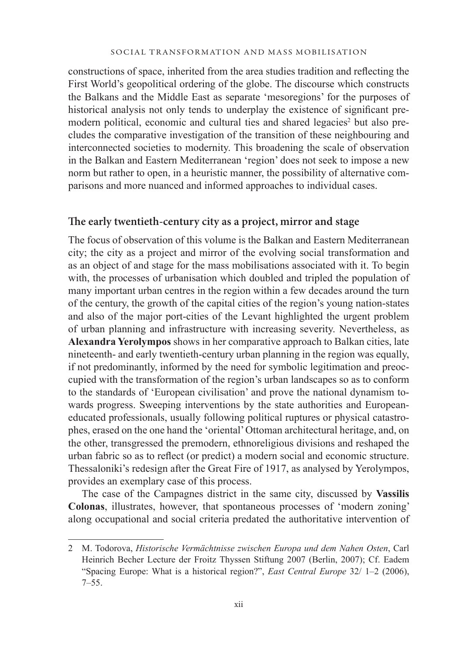constructions of space, inherited from the area studies tradition and reflecting the First World's geopolitical ordering of the globe. The discourse which constructs the Balkans and the Middle East as separate 'mesoregions' for the purposes of historical analysis not only tends to underplay the existence of significant premodern political, economic and cultural ties and shared legacies<sup>2</sup> but also precludes the comparative investigation of the transition of these neighbouring and interconnected societies to modernity. This broadening the scale of observation in the Balkan and Eastern Mediterranean 'region' does not seek to impose a new norm but rather to open, in a heuristic manner, the possibility of alternative comparisons and more nuanced and informed approaches to individual cases.

# **The early twentieth-century city as a project, mirror and stage**

The focus of observation of this volume is the Balkan and Eastern Mediterranean city; the city as a project and mirror of the evolving social transformation and as an object of and stage for the mass mobilisations associated with it. To begin with, the processes of urbanisation which doubled and tripled the population of many important urban centres in the region within a few decades around the turn of the century, the growth of the capital cities of the region's young nation-states and also of the major port-cities of the Levant highlighted the urgent problem of urban planning and infrastructure with increasing severity. Nevertheless, as **Alexandra Yerolympos** shows in her comparative approach to Balkan cities, late nineteenth- and early twentieth-century urban planning in the region was equally, if not predominantly, informed by the need for symbolic legitimation and preoccupied with the transformation of the region's urban landscapes so as to conform to the standards of 'European civilisation' and prove the national dynamism towards progress. Sweeping interventions by the state authorities and Europeaneducated professionals, usually following political ruptures or physical catastrophes, erased on the one hand the 'oriental' Ottoman architectural heritage, and, on the other, transgressed the premodern, ethnoreligious divisions and reshaped the urban fabric so as to reflect (or predict) a modern social and economic structure. Thessaloniki's redesign after the Great Fire of 1917, as analysed by Yerolympos, provides an exemplary case of this process.

The case of the Campagnes district in the same city, discussed by **Vassilis Colonas**, illustrates, however, that spontaneous processes of 'modern zoning' along occupational and social criteria predated the authoritative intervention of

<sup>2</sup> M. Todorova, *Historische Vermächtnisse zwischen Europa und dem Nahen Osten*, Carl Heinrich Becher Lecture der Froitz Thyssen Stiftung 2007 (Berlin, 2007); Cf. Eadem "Spacing Europe: What is a historical region?", *East Central Europe* 32/ 1–2 (2006),  $7 - 55$ .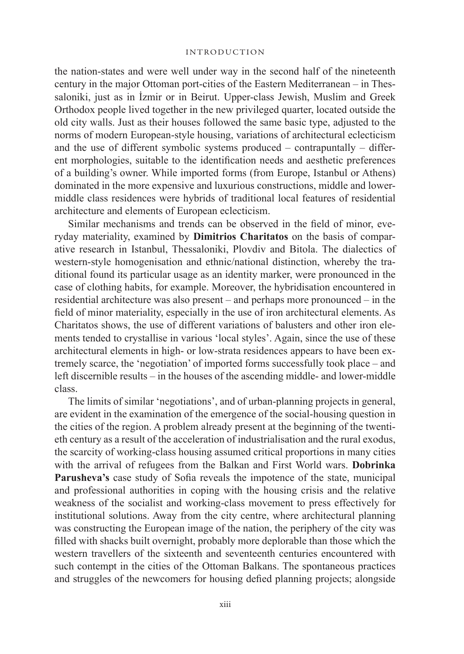the nation-states and were well under way in the second half of the nineteenth century in the major Ottoman port-cities of the Eastern Mediterranean – in Thessaloniki, just as in İzmir or in Beirut. Upper-class Jewish, Muslim and Greek Orthodox people lived together in the new privileged quarter, located outside the old city walls. Just as their houses followed the same basic type, adjusted to the norms of modern European-style housing, variations of architectural eclecticism and the use of different symbolic systems produced – contrapuntally – different morphologies, suitable to the identification needs and aesthetic preferences of a building's owner. While imported forms (from Europe, Istanbul or Athens) dominated in the more expensive and luxurious constructions, middle and lowermiddle class residences were hybrids of traditional local features of residential architecture and elements of European eclecticism.

Similar mechanisms and trends can be observed in the field of minor, everyday materiality, examined by **Dimitrios Charitatos** on the basis of comparative research in Istanbul, Thessaloniki, Plovdiv and Bitola. The dialectics of western-style homogenisation and ethnic/national distinction, whereby the traditional found its particular usage as an identity marker, were pronounced in the case of clothing habits, for example. Moreover, the hybridisation encountered in residential architecture was also present – and perhaps more pronounced – in the field of minor materiality, especially in the use of iron architectural elements. As Charitatos shows, the use of different variations of balusters and other iron elements tended to crystallise in various 'local styles'. Again, since the use of these architectural elements in high- or low-strata residences appears to have been extremely scarce, the 'negotiation' of imported forms successfully took place – and left discernible results – in the houses of the ascending middle- and lower-middle class.

The limits of similar 'negotiations', and of urban-planning projects in general, are evident in the examination of the emergence of the social-housing question in the cities of the region. A problem already present at the beginning of the twentieth century as a result of the acceleration of industrialisation and the rural exodus, the scarcity of working-class housing assumed critical proportions in many cities with the arrival of refugees from the Balkan and First World wars. **Dobrinka Parusheva's** case study of Sofia reveals the impotence of the state, municipal and professional authorities in coping with the housing crisis and the relative weakness of the socialist and working-class movement to press effectively for institutional solutions. Away from the city centre, where architectural planning was constructing the European image of the nation, the periphery of the city was filled with shacks built overnight, probably more deplorable than those which the western travellers of the sixteenth and seventeenth centuries encountered with such contempt in the cities of the Ottoman Balkans. The spontaneous practices and struggles of the newcomers for housing defied planning projects; alongside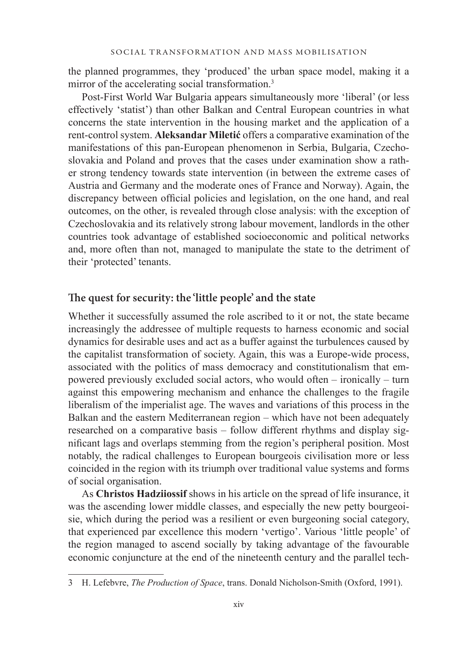the planned programmes, they 'produced' the urban space model, making it a mirror of the accelerating social transformation.<sup>3</sup>

Post-First World War Bulgaria appears simultaneously more 'liberal' (or less effectively 'statist') than other Balkan and Central European countries in what concerns the state intervention in the housing market and the application of a rent-control system. **Aleksandar Miletić** offers a comparative examination of the manifestations of this pan-European phenomenon in Serbia, Bulgaria, Czechoslovakia and Poland and proves that the cases under examination show a rather strong tendency towards state intervention (in between the extreme cases of Austria and Germany and the moderate ones of France and Norway). Again, the discrepancy between official policies and legislation, on the one hand, and real outcomes, on the other, is revealed through close analysis: with the exception of Czechoslovakia and its relatively strong labour movement, landlords in the other countries took advantage of established socioeconomic and political networks and, more often than not, managed to manipulate the state to the detriment of their 'protected' tenants.

# **The quest for security: the 'little people' and the state**

Whether it successfully assumed the role ascribed to it or not, the state became increasingly the addressee of multiple requests to harness economic and social dynamics for desirable uses and act as a buffer against the turbulences caused by the capitalist transformation of society. Again, this was a Europe-wide process, associated with the politics of mass democracy and constitutionalism that empowered previously excluded social actors, who would often – ironically – turn against this empowering mechanism and enhance the challenges to the fragile liberalism of the imperialist age. The waves and variations of this process in the Balkan and the eastern Mediterranean region – which have not been adequately researched on a comparative basis – follow different rhythms and display significant lags and overlaps stemming from the region's peripheral position. Most notably, the radical challenges to European bourgeois civilisation more or less coincided in the region with its triumph over traditional value systems and forms of social organisation.

As **Christos Hadziiossif** shows in his article on the spread of life insurance, it was the ascending lower middle classes, and especially the new petty bourgeoisie, which during the period was a resilient or even burgeoning social category, that experienced par excellence this modern 'vertigo'. Various 'little people' of the region managed to ascend socially by taking advantage of the favourable economic conjuncture at the end of the nineteenth century and the parallel tech-

<sup>3</sup> H. Lefebvre, *The Production of Space*, trans. Donald Nicholson-Smith (Oxford, 1991).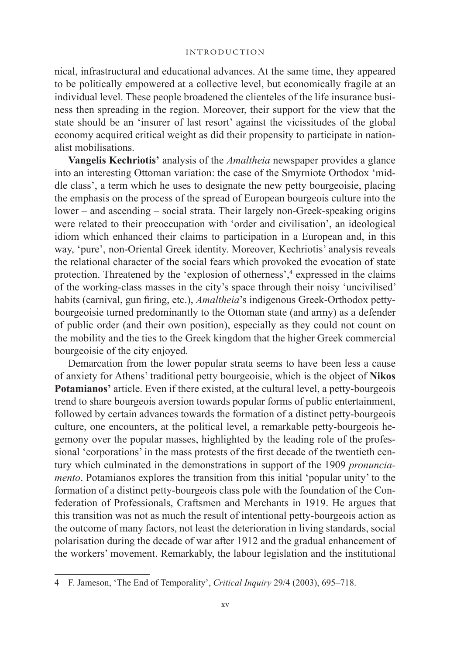nical, infrastructural and educational advances. At the same time, they appeared to be politically empowered at a collective level, but economically fragile at an individual level. These people broadened the clienteles of the life insurance business then spreading in the region. Moreover, their support for the view that the state should be an 'insurer of last resort' against the vicissitudes of the global economy acquired critical weight as did their propensity to participate in nationalist mobilisations.

**Vangelis Kechriotis'** analysis of the *Amaltheia* newspaper provides a glance into an interesting Ottoman variation: the case of the Smyrniote Orthodox 'middle class', a term which he uses to designate the new petty bourgeoisie, placing the emphasis on the process of the spread of European bourgeois culture into the lower – and ascending – social strata. Their largely non-Greek-speaking origins were related to their preoccupation with 'order and civilisation', an ideological idiom which enhanced their claims to participation in a European and, in this way, 'pure', non-Oriental Greek identity. Moreover, Kechriotis' analysis reveals the relational character of the social fears which provoked the evocation of state protection. Threatened by the 'explosion of otherness',<sup>4</sup> expressed in the claims of the working-class masses in the city's space through their noisy 'uncivilised' habits (carnival, gun firing, etc.), *Amaltheia*'s indigenous Greek-Orthodox pettybourgeoisie turned predominantly to the Ottoman state (and army) as a defender of public order (and their own position), especially as they could not count on the mobility and the ties to the Greek kingdom that the higher Greek commercial bourgeoisie of the city enjoyed.

Demarcation from the lower popular strata seems to have been less a cause of anxiety for Athens' traditional petty bourgeoisie, which is the object of **Nikos Potamianos'** article. Even if there existed, at the cultural level, a petty-bourgeois trend to share bourgeois aversion towards popular forms of public entertainment, followed by certain advances towards the formation of a distinct petty-bourgeois culture, one encounters, at the political level, a remarkable petty-bourgeois hegemony over the popular masses, highlighted by the leading role of the professional 'corporations' in the mass protests of the first decade of the twentieth century which culminated in the demonstrations in support of the 1909 *pronunciamento*. Potamianos explores the transition from this initial 'popular unity' to the formation of a distinct petty-bourgeois class pole with the foundation of the Confederation of Professionals, Craftsmen and Merchants in 1919. He argues that this transition was not as much the result of intentional petty-bourgeois action as the outcome of many factors, not least the deterioration in living standards, social polarisation during the decade of war after 1912 and the gradual enhancement of the workers' movement. Remarkably, the labour legislation and the institutional

<sup>4</sup> F. Jameson, 'The End of Temporality', *Critical Inquiry* 29/4 (2003), 695–718.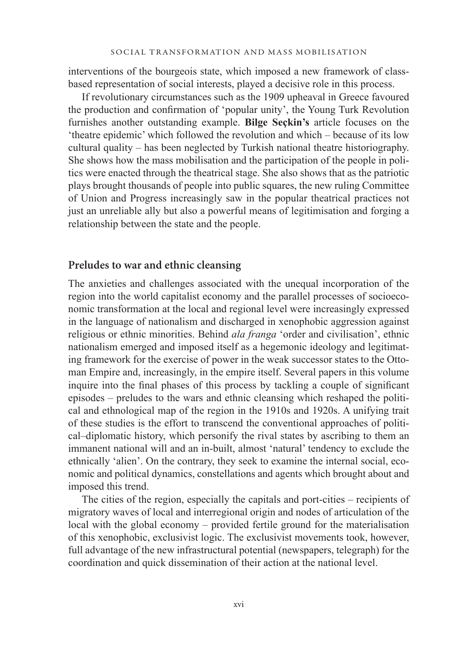interventions of the bourgeois state, which imposed a new framework of classbased representation of social interests, played a decisive role in this process.

If revolutionary circumstances such as the 1909 upheaval in Greece favoured the production and confirmation of 'popular unity', the Young Turk Revolution furnishes another outstanding example. **Bilge Seçkin's** article focuses on the 'theatre epidemic' which followed the revolution and which – because of its low cultural quality – has been neglected by Turkish national theatre historiography. She shows how the mass mobilisation and the participation of the people in politics were enacted through the theatrical stage. She also shows that as the patriotic plays brought thousands of people into public squares, the new ruling Committee of Union and Progress increasingly saw in the popular theatrical practices not just an unreliable ally but also a powerful means of legitimisation and forging a relationship between the state and the people.

### **Preludes to war and ethnic cleansing**

The anxieties and challenges associated with the unequal incorporation of the region into the world capitalist economy and the parallel processes of socioeconomic transformation at the local and regional level were increasingly expressed in the language of nationalism and discharged in xenophobic aggression against religious or ethnic minorities. Behind *ala franga* 'order and civilisation', ethnic nationalism emerged and imposed itself as a hegemonic ideology and legitimating framework for the exercise of power in the weak successor states to the Ottoman Empire and, increasingly, in the empire itself. Several papers in this volume inquire into the final phases of this process by tackling a couple of significant episodes – preludes to the wars and ethnic cleansing which reshaped the political and ethnological map of the region in the 1910s and 1920s. A unifying trait of these studies is the effort to transcend the conventional approaches of political–diplomatic history, which personify the rival states by ascribing to them an immanent national will and an in-built, almost 'natural' tendency to exclude the ethnically 'alien'. On the contrary, they seek to examine the internal social, economic and political dynamics, constellations and agents which brought about and imposed this trend.

The cities of the region, especially the capitals and port-cities – recipients of migratory waves of local and interregional origin and nodes of articulation of the local with the global economy – provided fertile ground for the materialisation of this xenophobic, exclusivist logic. The exclusivist movements took, however, full advantage of the new infrastructural potential (newspapers, telegraph) for the coordination and quick dissemination of their action at the national level.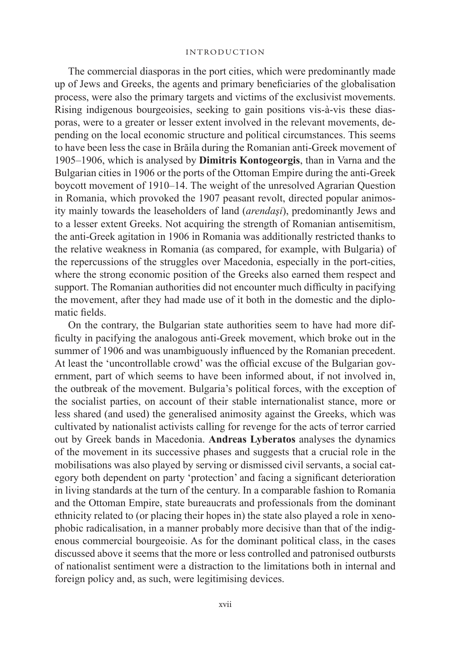The commercial diasporas in the port cities, which were predominantly made up of Jews and Greeks, the agents and primary beneficiaries of the globalisation process, were also the primary targets and victims of the exclusivist movements. Rising indigenous bourgeoisies, seeking to gain positions vis-à-vis these diasporas, were to a greater or lesser extent involved in the relevant movements, depending on the local economic structure and political circumstances. This seems to have been less the case in Brăila during the Romanian anti-Greek movement of 1905–1906, which is analysed by **Dimitris Kontogeorgis**, than in Varna and the Bulgarian cities in 1906 or the ports of the Ottoman Empire during the anti-Greek boycott movement of 1910–14. The weight of the unresolved Agrarian Question in Romania, which provoked the 1907 peasant revolt, directed popular animosity mainly towards the leaseholders of land (*arendaşi*), predominantly Jews and to a lesser extent Greeks. Not acquiring the strength of Romanian antisemitism, the anti-Greek agitation in 1906 in Romania was additionally restricted thanks to the relative weakness in Romania (as compared, for example, with Bulgaria) of the repercussions of the struggles over Macedonia, especially in the port-cities, where the strong economic position of the Greeks also earned them respect and support. The Romanian authorities did not encounter much difficulty in pacifying the movement, after they had made use of it both in the domestic and the diplomatic fields.

On the contrary, the Bulgarian state authorities seem to have had more difficulty in pacifying the analogous anti-Greek movement, which broke out in the summer of 1906 and was unambiguously influenced by the Romanian precedent. At least the 'uncontrollable crowd' was the official excuse of the Bulgarian government, part of which seems to have been informed about, if not involved in, the outbreak of the movement. Bulgaria's political forces, with the exception of the socialist parties, on account of their stable internationalist stance, more or less shared (and used) the generalised animosity against the Greeks, which was cultivated by nationalist activists calling for revenge for the acts of terror carried out by Greek bands in Macedonia. **Andreas Lyberatos** analyses the dynamics of the movement in its successive phases and suggests that a crucial role in the mobilisations was also played by serving or dismissed civil servants, a social category both dependent on party 'protection' and facing a significant deterioration in living standards at the turn of the century. In a comparable fashion to Romania and the Ottoman Empire, state bureaucrats and professionals from the dominant ethnicity related to (or placing their hopes in) the state also played a role in xenophobic radicalisation, in a manner probably more decisive than that of the indigenous commercial bourgeoisie. As for the dominant political class, in the cases discussed above it seems that the more or less controlled and patronised outbursts of nationalist sentiment were a distraction to the limitations both in internal and foreign policy and, as such, were legitimising devices.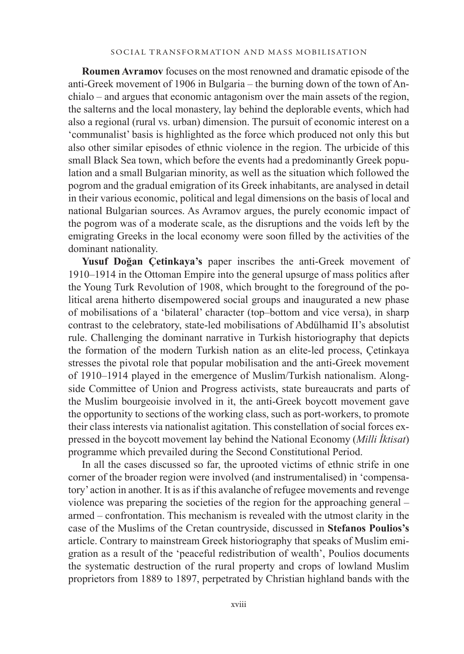**Roumen Avramov** focuses on the most renowned and dramatic episode of the anti-Greek movement of 1906 in Bulgaria – the burning down of the town of Anchialo – and argues that economic antagonism over the main assets of the region, the salterns and the local monastery, lay behind the deplorable events, which had also a regional (rural vs. urban) dimension. The pursuit of economic interest on a 'communalist' basis is highlighted as the force which produced not only this but also other similar episodes of ethnic violence in the region. The urbicide of this small Black Sea town, which before the events had a predominantly Greek population and a small Bulgarian minority, as well as the situation which followed the pogrom and the gradual emigration of its Greek inhabitants, are analysed in detail in their various economic, political and legal dimensions on the basis of local and national Bulgarian sources. As Avramov argues, the purely economic impact of the pogrom was of a moderate scale, as the disruptions and the voids left by the emigrating Greeks in the local economy were soon filled by the activities of the dominant nationality.

**Yusuf Doğan Çetinkaya's** paper inscribes the anti-Greek movement of 1910–1914 in the Ottoman Empire into the general upsurge of mass politics after the Young Turk Revolution of 1908, which brought to the foreground of the political arena hitherto disempowered social groups and inaugurated a new phase of mobilisations of a 'bilateral' character (top–bottom and vice versa), in sharp contrast to the celebratory, state-led mobilisations of Abdülhamid II's absolutist rule. Challenging the dominant narrative in Turkish historiography that depicts the formation of the modern Turkish nation as an elite-led process, Çetinkaya stresses the pivotal role that popular mobilisation and the anti-Greek movement of 1910–1914 played in the emergence of Muslim/Turkish nationalism. Alongside Committee of Union and Progress activists, state bureaucrats and parts of the Muslim bourgeoisie involved in it, the anti-Greek boycott movement gave the opportunity to sections of the working class, such as port-workers, to promote their class interests via nationalist agitation. This constellation of social forces expressed in the boycott movement lay behind the National Economy (*Milli İktisat*) programme which prevailed during the Second Constitutional Period.

In all the cases discussed so far, the uprooted victims of ethnic strife in one corner of the broader region were involved (and instrumentalised) in 'compensatory' action in another. It is as if this avalanche of refugee movements and revenge violence was preparing the societies of the region for the approaching general – armed – confrontation. This mechanism is revealed with the utmost clarity in the case of the Muslims of the Cretan countryside, discussed in **Stefanos Poulios's**  article. Contrary to mainstream Greek historiography that speaks of Muslim emigration as a result of the 'peaceful redistribution of wealth', Poulios documents the systematic destruction of the rural property and crops of lowland Muslim proprietors from 1889 to 1897, perpetrated by Christian highland bands with the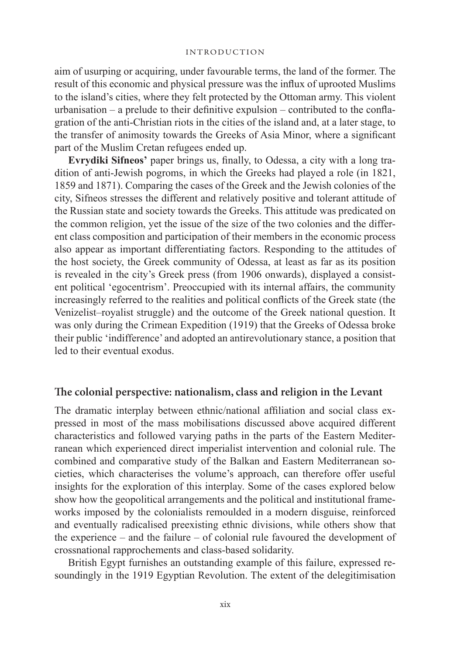aim of usurping or acquiring, under favourable terms, the land of the former. The result of this economic and physical pressure was the influx of uprooted Muslims to the island's cities, where they felt protected by the Ottoman army. This violent urbanisation – a prelude to their definitive expulsion – contributed to the conflagration of the anti-Christian riots in the cities of the island and, at a later stage, to the transfer of animosity towards the Greeks of Asia Minor, where a significant part of the Muslim Cretan refugees ended up.

**Evrydiki Sifneos'** paper brings us, finally, to Odessa, a city with a long tradition of anti-Jewish pogroms, in which the Greeks had played a role (in 1821, 1859 and 1871). Comparing the cases of the Greek and the Jewish colonies of the city, Sifneos stresses the different and relatively positive and tolerant attitude of the Russian state and society towards the Greeks. This attitude was predicated on the common religion, yet the issue of the size of the two colonies and the different class composition and participation of their members in the economic process also appear as important differentiating factors. Responding to the attitudes of the host society, the Greek community of Odessa, at least as far as its position is revealed in the city's Greek press (from 1906 onwards), displayed a consistent political 'egocentrism'. Preoccupied with its internal affairs, the community increasingly referred to the realities and political conflicts of the Greek state (the Venizelist–royalist struggle) and the outcome of the Greek national question. It was only during the Crimean Expedition (1919) that the Greeks of Odessa broke their public 'indifference' and adopted an antirevolutionary stance, a position that led to their eventual exodus.

### **The colonial perspective: nationalism, class and religion in the Levant**

The dramatic interplay between ethnic/national affiliation and social class expressed in most of the mass mobilisations discussed above acquired different characteristics and followed varying paths in the parts of the Eastern Mediterranean which experienced direct imperialist intervention and colonial rule. The combined and comparative study of the Balkan and Eastern Mediterranean societies, which characterises the volume's approach, can therefore offer useful insights for the exploration of this interplay. Some of the cases explored below show how the geopolitical arrangements and the political and institutional frameworks imposed by the colonialists remoulded in a modern disguise, reinforced and eventually radicalised preexisting ethnic divisions, while others show that the experience – and the failure – of colonial rule favoured the development of crossnational rapprochements and class-based solidarity.

British Egypt furnishes an outstanding example of this failure, expressed resoundingly in the 1919 Egyptian Revolution. The extent of the delegitimisation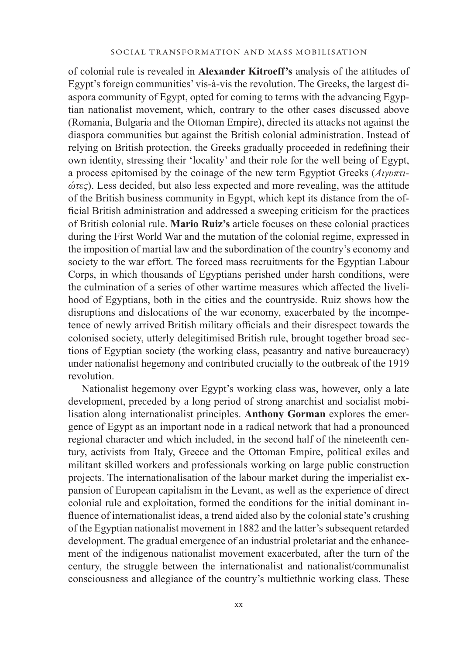of colonial rule is revealed in **Alexander Kitroeff's** analysis of the attitudes of Egypt's foreign communities' vis-à-vis the revolution. The Greeks, the largest diaspora community of Egypt, opted for coming to terms with the advancing Egyptian nationalist movement, which, contrary to the other cases discussed above (Romania, Bulgaria and the Ottoman Empire), directed its attacks not against the diaspora communities but against the British colonial administration. Instead of relying on British protection, the Greeks gradually proceeded in redefining their own identity, stressing their 'locality' and their role for the well being of Egypt, a process epitomised by the coinage of the new term Egyptiot Greeks (*Αιγυπτιώτες*). Less decided, but also less expected and more revealing, was the attitude of the British business community in Egypt, which kept its distance from the official British administration and addressed a sweeping criticism for the practices of British colonial rule. **Mario Ruiz's** article focuses on these colonial practices during the First World War and the mutation of the colonial regime, expressed in the imposition of martial law and the subordination of the country's economy and society to the war effort. The forced mass recruitments for the Egyptian Labour Corps, in which thousands of Egyptians perished under harsh conditions, were the culmination of a series of other wartime measures which affected the livelihood of Egyptians, both in the cities and the countryside. Ruiz shows how the disruptions and dislocations of the war economy, exacerbated by the incompetence of newly arrived British military officials and their disrespect towards the colonised society, utterly delegitimised British rule, brought together broad sections of Egyptian society (the working class, peasantry and native bureaucracy) under nationalist hegemony and contributed crucially to the outbreak of the 1919 revolution.

Nationalist hegemony over Egypt's working class was, however, only a late development, preceded by a long period of strong anarchist and socialist mobilisation along internationalist principles. **Anthony Gorman** explores the emergence of Egypt as an important node in a radical network that had a pronounced regional character and which included, in the second half of the nineteenth century, activists from Italy, Greece and the Ottoman Empire, political exiles and militant skilled workers and professionals working on large public construction projects. The internationalisation of the labour market during the imperialist expansion of European capitalism in the Levant, as well as the experience of direct colonial rule and exploitation, formed the conditions for the initial dominant influence of internationalist ideas, a trend aided also by the colonial state's crushing of the Egyptian nationalist movement in 1882 and the latter's subsequent retarded development. The gradual emergence of an industrial proletariat and the enhancement of the indigenous nationalist movement exacerbated, after the turn of the century, the struggle between the internationalist and nationalist/communalist consciousness and allegiance of the country's multiethnic working class. These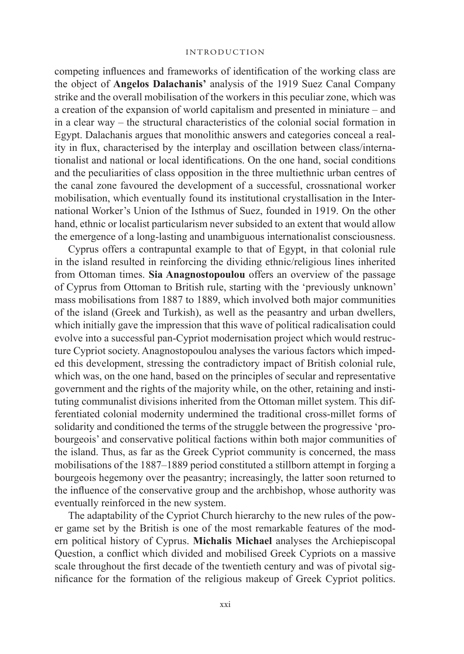competing influences and frameworks of identification of the working class are the object of **Angelos Dalachanis'** analysis of the 1919 Suez Canal Company strike and the overall mobilisation of the workers in this peculiar zone, which was a creation of the expansion of world capitalism and presented in miniature – and in a clear way – the structural characteristics of the colonial social formation in Egypt. Dalachanis argues that monolithic answers and categories conceal a reality in flux, characterised by the interplay and oscillation between class/internationalist and national or local identifications. On the one hand, social conditions and the peculiarities of class opposition in the three multiethnic urban centres of the canal zone favoured the development of a successful, crossnational worker mobilisation, which eventually found its institutional crystallisation in the International Worker's Union of the Isthmus of Suez, founded in 1919. On the other hand, ethnic or localist particularism never subsided to an extent that would allow the emergence of a long-lasting and unambiguous internationalist consciousness.

Cyprus offers a contrapuntal example to that of Egypt, in that colonial rule in the island resulted in reinforcing the dividing ethnic/religious lines inherited from Ottoman times. **Sia Anagnostopoulou** offers an overview of the passage of Cyprus from Ottoman to British rule, starting with the 'previously unknown' mass mobilisations from 1887 to 1889, which involved both major communities of the island (Greek and Turkish), as well as the peasantry and urban dwellers, which initially gave the impression that this wave of political radicalisation could evolve into a successful pan-Cypriot modernisation project which would restructure Cypriot society. Anagnostopoulou analyses the various factors which impeded this development, stressing the contradictory impact of British colonial rule, which was, on the one hand, based on the principles of secular and representative government and the rights of the majority while, on the other, retaining and instituting communalist divisions inherited from the Ottoman millet system. This differentiated colonial modernity undermined the traditional cross-millet forms of solidarity and conditioned the terms of the struggle between the progressive 'probourgeois' and conservative political factions within both major communities of the island. Thus, as far as the Greek Cypriot community is concerned, the mass mobilisations of the 1887–1889 period constituted a stillborn attempt in forging a bourgeois hegemony over the peasantry; increasingly, the latter soon returned to the influence of the conservative group and the archbishop, whose authority was eventually reinforced in the new system.

The adaptability of the Cypriot Church hierarchy to the new rules of the power game set by the British is one of the most remarkable features of the modern political history of Cyprus. **Michalis Michael** analyses the Archiepiscopal Question, a conflict which divided and mobilised Greek Cypriots on a massive scale throughout the first decade of the twentieth century and was of pivotal significance for the formation of the religious makeup of Greek Cypriot politics.